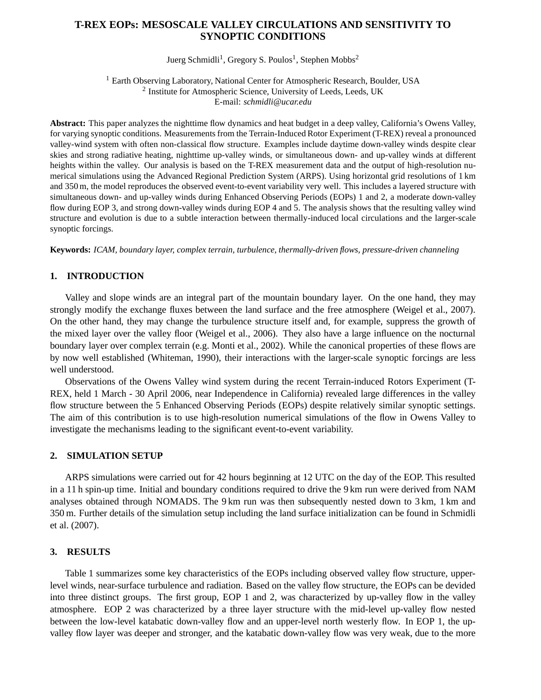# **T-REX EOPs: MESOSCALE VALLEY CIRCULATIONS AND SENSITIVITY TO SYNOPTIC CONDITIONS**

Juerg Schmidli<sup>1</sup>, Gregory S. Poulos<sup>1</sup>, Stephen Mobbs<sup>2</sup>

<sup>1</sup> Earth Observing Laboratory, National Center for Atmospheric Research, Boulder, USA <sup>2</sup> Institute for Atmospheric Science, University of Leeds, Leeds, UK E-mail: *schmidli@ucar.edu*

**Abstract:** This paper analyzes the nighttime flow dynamics and heat budget in a deep valley, California's Owens Valley, for varying synoptic conditions. Measurements from the Terrain-Induced Rotor Experiment (T-REX) reveal a pronounced valley-wind system with often non-classical flow structure. Examples include daytime down-valley winds despite clear skies and strong radiative heating, nighttime up-valley winds, or simultaneous down- and up-valley winds at different heights within the valley. Our analysis is based on the T-REX measurement data and the output of high-resolution numerical simulations using the Advanced Regional Prediction System (ARPS). Using horizontal grid resolutions of 1 km and 350 m, the model reproduces the observed event-to-event variability very well. This includes a layered structure with simultaneous down- and up-valley winds during Enhanced Observing Periods (EOPs) 1 and 2, a moderate down-valley flow during EOP 3, and strong down-valley winds during EOP 4 and 5. The analysis shows that the resulting valley wind structure and evolution is due to a subtle interaction between thermally-induced local circulations and the larger-scale synoptic forcings.

**Keywords:** *ICAM, boundary layer, complex terrain, turbulence, thermally-driven flows, pressure-driven channeling*

## **1. INTRODUCTION**

Valley and slope winds are an integral part of the mountain boundary layer. On the one hand, they may strongly modify the exchange fluxes between the land surface and the free atmosphere (Weigel et al., 2007). On the other hand, they may change the turbulence structure itself and, for example, suppress the growth of the mixed layer over the valley floor (Weigel et al., 2006). They also have a large influence on the nocturnal boundary layer over complex terrain (e.g. Monti et al., 2002). While the canonical properties of these flows are by now well established (Whiteman, 1990), their interactions with the larger-scale synoptic forcings are less well understood.

Observations of the Owens Valley wind system during the recent Terrain-induced Rotors Experiment (T-REX, held 1 March - 30 April 2006, near Independence in California) revealed large differences in the valley flow structure between the 5 Enhanced Observing Periods (EOPs) despite relatively similar synoptic settings. The aim of this contribution is to use high-resolution numerical simulations of the flow in Owens Valley to investigate the mechanisms leading to the significant event-to-event variability.

### **2. SIMULATION SETUP**

ARPS simulations were carried out for 42 hours beginning at 12 UTC on the day of the EOP. This resulted in a 11 h spin-up time. Initial and boundary conditions required to drive the 9 km run were derived from NAM analyses obtained through NOMADS. The 9 km run was then subsequently nested down to 3 km, 1 km and 350 m. Further details of the simulation setup including the land surface initialization can be found in Schmidli et al. (2007).

### **3. RESULTS**

Table 1 summarizes some key characteristics of the EOPs including observed valley flow structure, upperlevel winds, near-surface turbulence and radiation. Based on the valley flow structure, the EOPs can be devided into three distinct groups. The first group, EOP 1 and 2, was characterized by up-valley flow in the valley atmosphere. EOP 2 was characterized by a three layer structure with the mid-level up-valley flow nested between the low-level katabatic down-valley flow and an upper-level north westerly flow. In EOP 1, the upvalley flow layer was deeper and stronger, and the katabatic down-valley flow was very weak, due to the more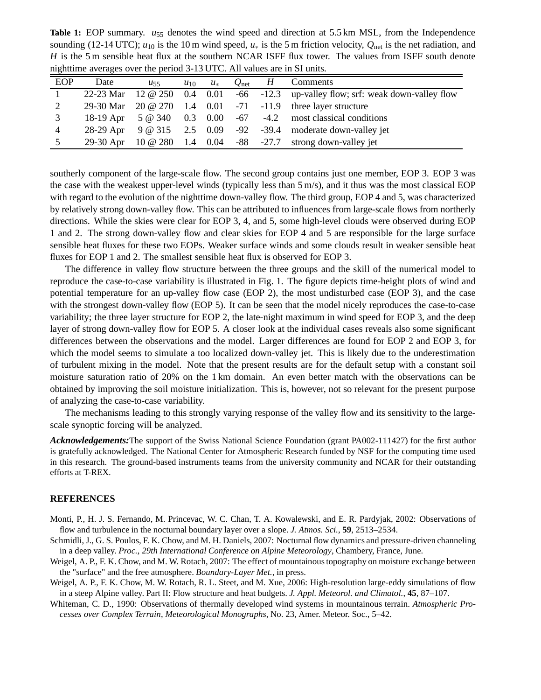**Table 1:** EOP summary.  $u_{55}$  denotes the wind speed and direction at 5.5 km MSL, from the Independence sounding (12-14 UTC);  $u_{10}$  is the 10 m wind speed,  $u_*$  is the 5 m friction velocity,  $Q_{net}$  is the net radiation, and *H* is the 5 m sensible heat flux at the southern NCAR ISFF flux tower. The values from ISFF south denote nighttime averages over the period 3-13 UTC. All values are in SI units.

| <b>EOP</b> | Date | $u_{55}$ | $u_{10}$ | $u_*$ |  | $Q_{\text{net}}$ <i>H</i> Comments                                                      |
|------------|------|----------|----------|-------|--|-----------------------------------------------------------------------------------------|
|            |      |          |          |       |  | 22-23 Mar $12 \oplus 250$ 0.4 0.01 -66 -12.3 up-valley flow; srf: weak down-valley flow |
| 2          |      |          |          |       |  | 29-30 Mar 20 @ 270 1.4 0.01 -71 -11.9 three layer structure                             |
| 3          |      |          |          |       |  | 18-19 Apr $5 \textcircled{a} 340$ 0.3 0.00 -67 -4.2 most classical conditions           |
| 4          |      |          |          |       |  | 28-29 Apr 9 @ 315 2.5 0.09 -92 -39.4 moderate down-valley jet                           |
| 5          |      |          |          |       |  | 29-30 Apr 10 @ 280 1.4 0.04 -88 -27.7 strong down-valley jet                            |

southerly component of the large-scale flow. The second group contains just one member, EOP 3. EOP 3 was the case with the weakest upper-level winds (typically less than 5 m/s), and it thus was the most classical EOP with regard to the evolution of the nighttime down-valley flow. The third group, EOP 4 and 5, was characterized by relatively strong down-valley flow. This can be attributed to influences from large-scale flows from northerly directions. While the skies were clear for EOP 3, 4, and 5, some high-level clouds were observed during EOP 1 and 2. The strong down-valley flow and clear skies for EOP 4 and 5 are responsible for the large surface sensible heat fluxes for these two EOPs. Weaker surface winds and some clouds result in weaker sensible heat fluxes for EOP 1 and 2. The smallest sensible heat flux is observed for EOP 3.

The difference in valley flow structure between the three groups and the skill of the numerical model to reproduce the case-to-case variability is illustrated in Fig. 1. The figure depicts time-height plots of wind and potential temperature for an up-valley flow case (EOP 2), the most undisturbed case (EOP 3), and the case with the strongest down-valley flow (EOP 5). It can be seen that the model nicely reproduces the case-to-case variability; the three layer structure for EOP 2, the late-night maximum in wind speed for EOP 3, and the deep layer of strong down-valley flow for EOP 5. A closer look at the individual cases reveals also some significant differences between the observations and the model. Larger differences are found for EOP 2 and EOP 3, for which the model seems to simulate a too localized down-valley jet. This is likely due to the underestimation of turbulent mixing in the model. Note that the present results are for the default setup with a constant soil moisture saturation ratio of 20% on the 1 km domain. An even better match with the observations can be obtained by improving the soil moisture initialization. This is, however, not so relevant for the present purpose of analyzing the case-to-case variability.

The mechanisms leading to this strongly varying response of the valley flow and its sensitivity to the largescale synoptic forcing will be analyzed.

*Acknowledgements:*The support of the Swiss National Science Foundation (grant PA002-111427) for the first author is gratefully acknowledged. The National Center for Atmospheric Research funded by NSF for the computing time used in this research. The ground-based instruments teams from the university community and NCAR for their outstanding efforts at T-REX.

#### **REFERENCES**

- Monti, P., H. J. S. Fernando, M. Princevac, W. C. Chan, T. A. Kowalewski, and E. R. Pardyjak, 2002: Observations of flow and turbulence in the nocturnal boundary layer over a slope. *J. Atmos. Sci.*, **59**, 2513–2534.
- Schmidli, J., G. S. Poulos, F. K. Chow, and M. H. Daniels, 2007: Nocturnal flow dynamics and pressure-driven channeling in a deep valley. *Proc.*, *29th International Conference on Alpine Meteorology*, Chambery, France, June.
- Weigel, A. P., F. K. Chow, and M. W. Rotach, 2007: The effect of mountainous topography on moisture exchange between the "surface" and the free atmosphere. *Boundary-Layer Met.*, in press.
- Weigel, A. P., F. K. Chow, M. W. Rotach, R. L. Steet, and M. Xue, 2006: High-resolution large-eddy simulations of flow in a steep Alpine valley. Part II: Flow structure and heat budgets. *J. Appl. Meteorol. and Climatol.*, **45**, 87–107.
- Whiteman, C. D., 1990: Observations of thermally developed wind systems in mountainous terrain. *Atmospheric Processes over Complex Terrain*, *Meteorological Monographs*, No. 23, Amer. Meteor. Soc., 5–42.